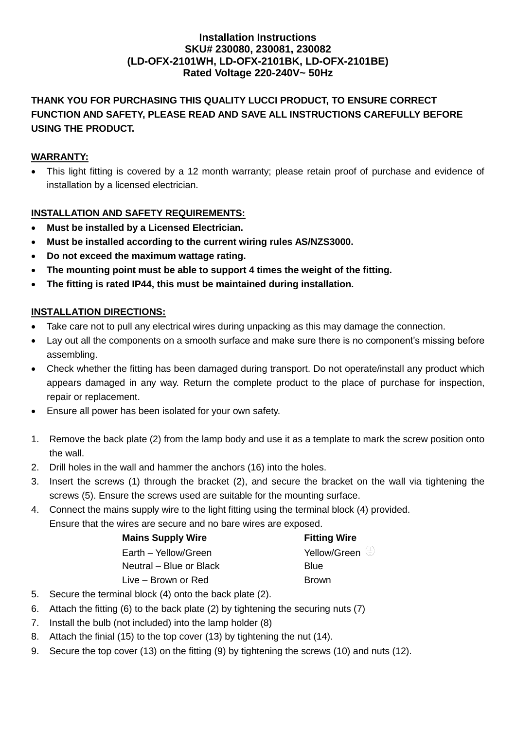### **Installation Instructions SKU# 230080, 230081, 230082 (LD-OFX-2101WH, LD-OFX-2101BK, LD-OFX-2101BE) Rated Voltage 220-240V~ 50Hz**

# **THANK YOU FOR PURCHASING THIS QUALITY LUCCI PRODUCT, TO ENSURE CORRECT FUNCTION AND SAFETY, PLEASE READ AND SAVE ALL INSTRUCTIONS CAREFULLY BEFORE USING THE PRODUCT.**

## **WARRANTY:**

• This light fitting is covered by a 12 month warranty; please retain proof of purchase and evidence of installation by a licensed electrician.

### **INSTALLATION AND SAFETY REQUIREMENTS:**

- **Must be installed by a Licensed Electrician.**
- **Must be installed according to the current wiring rules AS/NZS3000.**
- **Do not exceed the maximum wattage rating.**
- **The mounting point must be able to support 4 times the weight of the fitting.**
- **The fitting is rated IP44, this must be maintained during installation.**

#### **INSTALLATION DIRECTIONS:**

- Take care not to pull any electrical wires during unpacking as this may damage the connection.
- Lay out all the components on a smooth surface and make sure there is no component's missing before assembling.
- Check whether the fitting has been damaged during transport. Do not operate/install any product which appears damaged in any way. Return the complete product to the place of purchase for inspection, repair or replacement.
- Ensure all power has been isolated for your own safety.
- 1. Remove the back plate (2) from the lamp body and use it as a template to mark the screw position onto the wall.
- 2. Drill holes in the wall and hammer the anchors (16) into the holes.
- 3. Insert the screws (1) through the bracket (2), and secure the bracket on the wall via tightening the screws (5). Ensure the screws used are suitable for the mounting surface.
- 4. Connect the mains supply wire to the light fitting using the terminal block (4) provided. Ensure that the wires are secure and no bare wires are exposed.

| <b>Mains Supply Wire</b> | <b>Fitting Wire</b>     |
|--------------------------|-------------------------|
| Earth - Yellow/Green     | Yellow/Green $\bigcirc$ |
| Neutral – Blue or Black  | Blue                    |
| Live – Brown or Red      | <b>Brown</b>            |

- 5. Secure the terminal block (4) onto the back plate (2).
- 6. Attach the fitting (6) to the back plate (2) by tightening the securing nuts (7)
- 7. Install the bulb (not included) into the lamp holder (8)
- 8. Attach the finial (15) to the top cover (13) by tightening the nut (14).
- 9. Secure the top cover (13) on the fitting (9) by tightening the screws (10) and nuts (12).